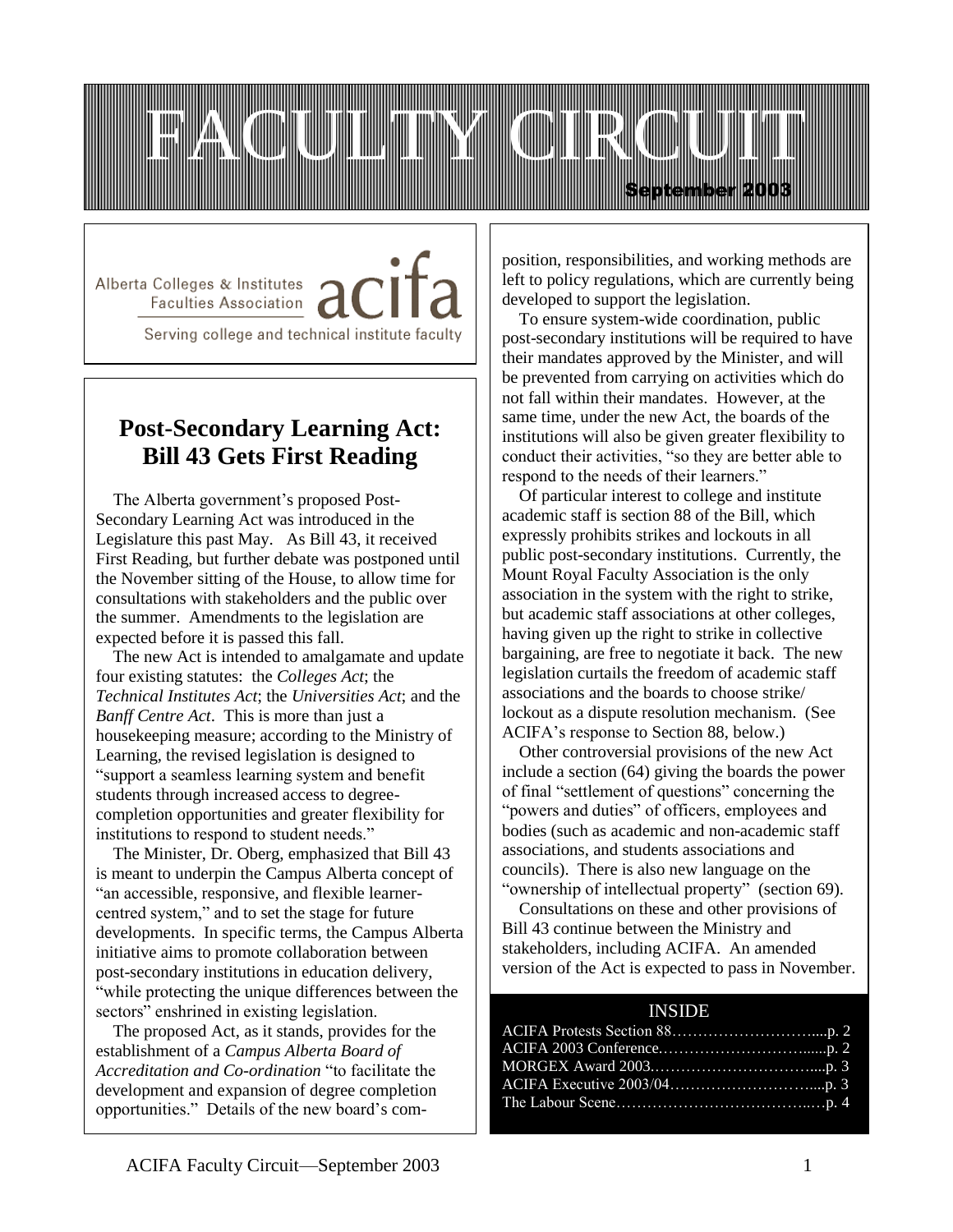

Alberta Colleges & Institutes / Faculties Association

Serving college and technical institute faculty

## **Post-Secondary Learning Act: Bill 43 Gets First Reading**

 The Alberta government's proposed Post-Secondary Learning Act was introduced in the Legislature this past May. As Bill 43, it received First Reading, but further debate was postponed until the November sitting of the House, to allow time for consultations with stakeholders and the public over the summer. Amendments to the legislation are expected before it is passed this fall.

 The new Act is intended to amalgamate and update four existing statutes: the *Colleges Act*; the *Technical Institutes Act*; the *Universities Act*; and the *Banff Centre Act*. This is more than just a housekeeping measure; according to the Ministry of Learning, the revised legislation is designed to "support a seamless learning system and benefit students through increased access to degreecompletion opportunities and greater flexibility for institutions to respond to student needs."

 The Minister, Dr. Oberg, emphasized that Bill 43 is meant to underpin the Campus Alberta concept of "an accessible, responsive, and flexible learnercentred system," and to set the stage for future developments. In specific terms, the Campus Alberta initiative aims to promote collaboration between post-secondary institutions in education delivery, "while protecting the unique differences between the sectors" enshrined in existing legislation.

 The proposed Act, as it stands, provides for the establishment of a *Campus Alberta Board of Accreditation and Co-ordination* "to facilitate the development and expansion of degree completion opportunities." Details of the new board's com-

l

position, responsibilities, and working methods are left to policy regulations, which are currently being developed to support the legislation.

 To ensure system-wide coordination, public post-secondary institutions will be required to have their mandates approved by the Minister, and will be prevented from carrying on activities which do not fall within their mandates. However, at the same time, under the new Act, the boards of the institutions will also be given greater flexibility to conduct their activities, "so they are better able to respond to the needs of their learners."

 Of particular interest to college and institute academic staff is section 88 of the Bill, which expressly prohibits strikes and lockouts in all public post-secondary institutions. Currently, the Mount Royal Faculty Association is the only association in the system with the right to strike, but academic staff associations at other colleges, having given up the right to strike in collective bargaining, are free to negotiate it back. The new legislation curtails the freedom of academic staff associations and the boards to choose strike/ lockout as a dispute resolution mechanism. (See ACIFA's response to Section 88, below.)

 Other controversial provisions of the new Act include a section (64) giving the boards the power of final "settlement of questions" concerning the "powers and duties" of officers, employees and bodies (such as academic and non-academic staff associations, and students associations and councils). There is also new language on the "ownership of intellectual property" (section 69).

 Consultations on these and other provisions of Bill 43 continue between the Ministry and stakeholders, including ACIFA. An amended version of the Act is expected to pass in November.

### INSIDE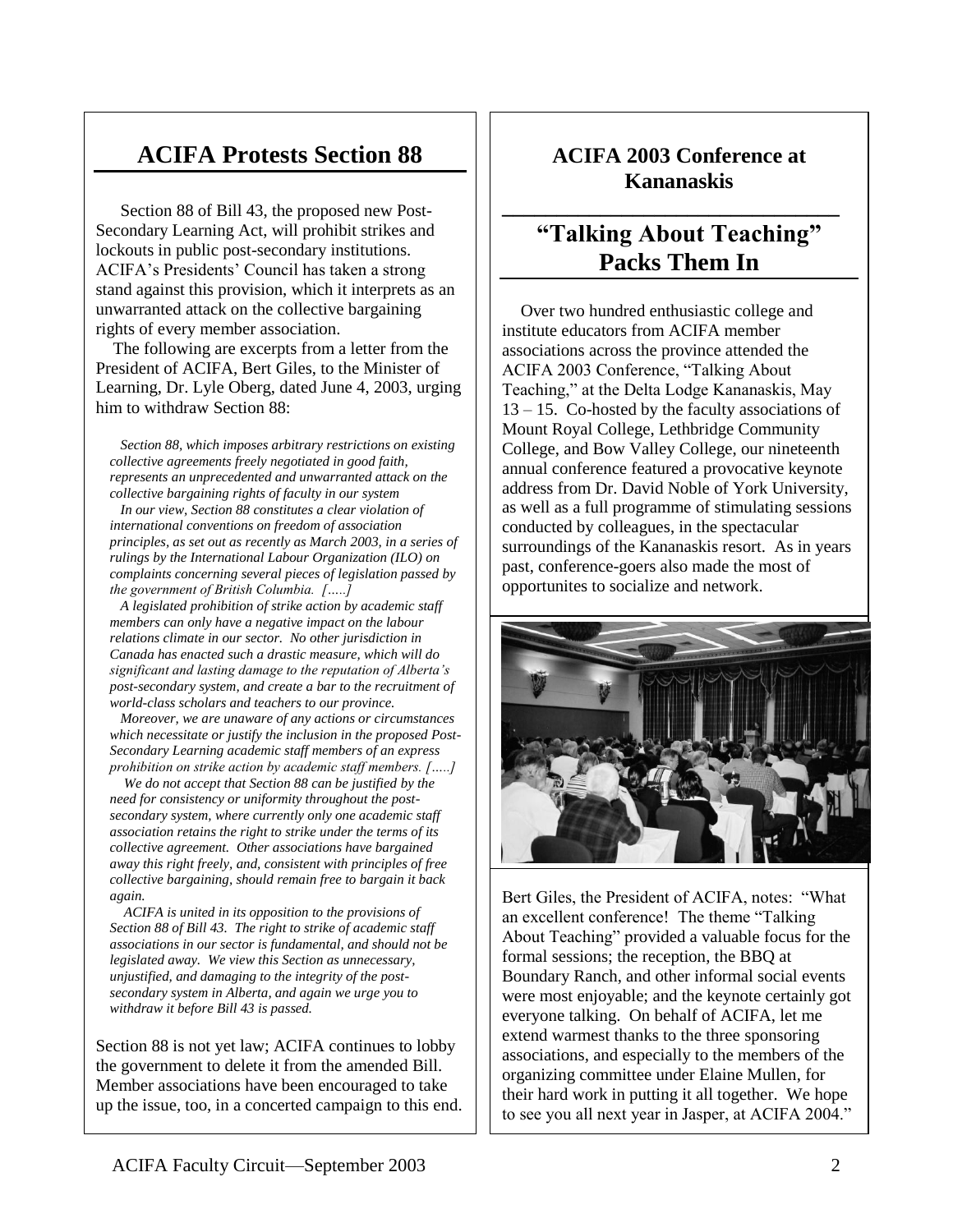# **ACIFA Protests Section 88**

Section 88 of Bill 43, the proposed new Post-Secondary Learning Act, will prohibit strikes and lockouts in public post-secondary institutions. ACIFA's Presidents' Council has taken a strong stand against this provision, which it interprets as an unwarranted attack on the collective bargaining rights of every member association.

The following are excerpts from a fetter from the<br>President of ACIFA, Bert Giles, to the Minister of **Book Review** Learning, Dr. Lyle Oberg, dated June 4, 2003, urging The following are excerpts from a letter from the him to withdraw Section 88:

 *Section 88, which imposes arbitrary restrictions on existing collective agreements freely negotiated in good faith, represents an unprecedented and unwarranted attack on the collective bargaining rights of faculty in our system*

 *In our view, Section 88 constitutes a clear violation of international conventions on freedom of association principles, as set out as recently as March 2003, in a series of rulings by the International Labour Organization (ILO) on complaints concerning several pieces of legislation passed by the government of British Columbia. […..]*

 *A legislated prohibition of strike action by academic staff members can only have a negative impact on the labour relations climate in our sector. No other jurisdiction in Canada has enacted such a drastic measure, which will do significant and lasting damage to the reputation of Alberta's post-secondary system, and create a bar to the recruitment of world-class scholars and teachers to our province.*

 *Moreover, we are unaware of any actions or circumstances which necessitate or justify the inclusion in the proposed Post-Secondary Learning academic staff members of an express prohibition on strike action by academic staff members. […..]*

 *We do not accept that Section 88 can be justified by the need for consistency or uniformity throughout the postsecondary system, where currently only one academic staff association retains the right to strike under the terms of its collective agreement. Other associations have bargained away this right freely, and, consistent with principles of free collective bargaining, should remain free to bargain it back again.*

 *ACIFA is united in its opposition to the provisions of Section 88 of Bill 43. The right to strike of academic staff associations in our sector is fundamental, and should not be legislated away. We view this Section as unnecessary, unjustified, and damaging to the integrity of the postsecondary system in Alberta, and again we urge you to withdraw it before Bill 43 is passed.*

Section 88 is not yet law; ACIFA continues to lobby the government to delete it from the amended Bill. Member associations have been encouraged to take up the issue, too, in a concerted campaign to this end.

## **ACIFA 2003 Conference at Kananaskis**

**\_\_\_\_\_\_\_\_\_\_\_\_\_\_\_\_\_\_\_\_\_\_\_\_\_\_\_\_\_\_\_**

# **"Talking About Teaching" Packs Them In**

 Over two hundred enthusiastic college and institute educators from ACIFA member associations across the province attended the ACIFA 2003 Conference, "Talking About Teaching," at the Delta Lodge Kananaskis, May 13 – 15. Co-hosted by the faculty associations of Mount Royal College, Lethbridge Community College, and Bow Valley College, our nineteenth annual conference featured a provocative keynote address from Dr. David Noble of York University, as well as a full programme of stimulating sessions conducted by colleagues, in the spectacular surroundings of the Kananaskis resort. As in years past, conference-goers also made the most of opportunites to socialize and network.



Bert Giles, the President of ACIFA, notes: "What an excellent conference! The theme "Talking About Teaching" provided a valuable focus for the formal sessions; the reception, the BBQ at Boundary Ranch, and other informal social events were most enjoyable; and the keynote certainly got everyone talking. On behalf of ACIFA, let me extend warmest thanks to the three sponsoring associations, and especially to the members of the organizing committee under Elaine Mullen, for their hard work in putting it all together. We hope to see you all next year in Jasper, at ACIFA 2004."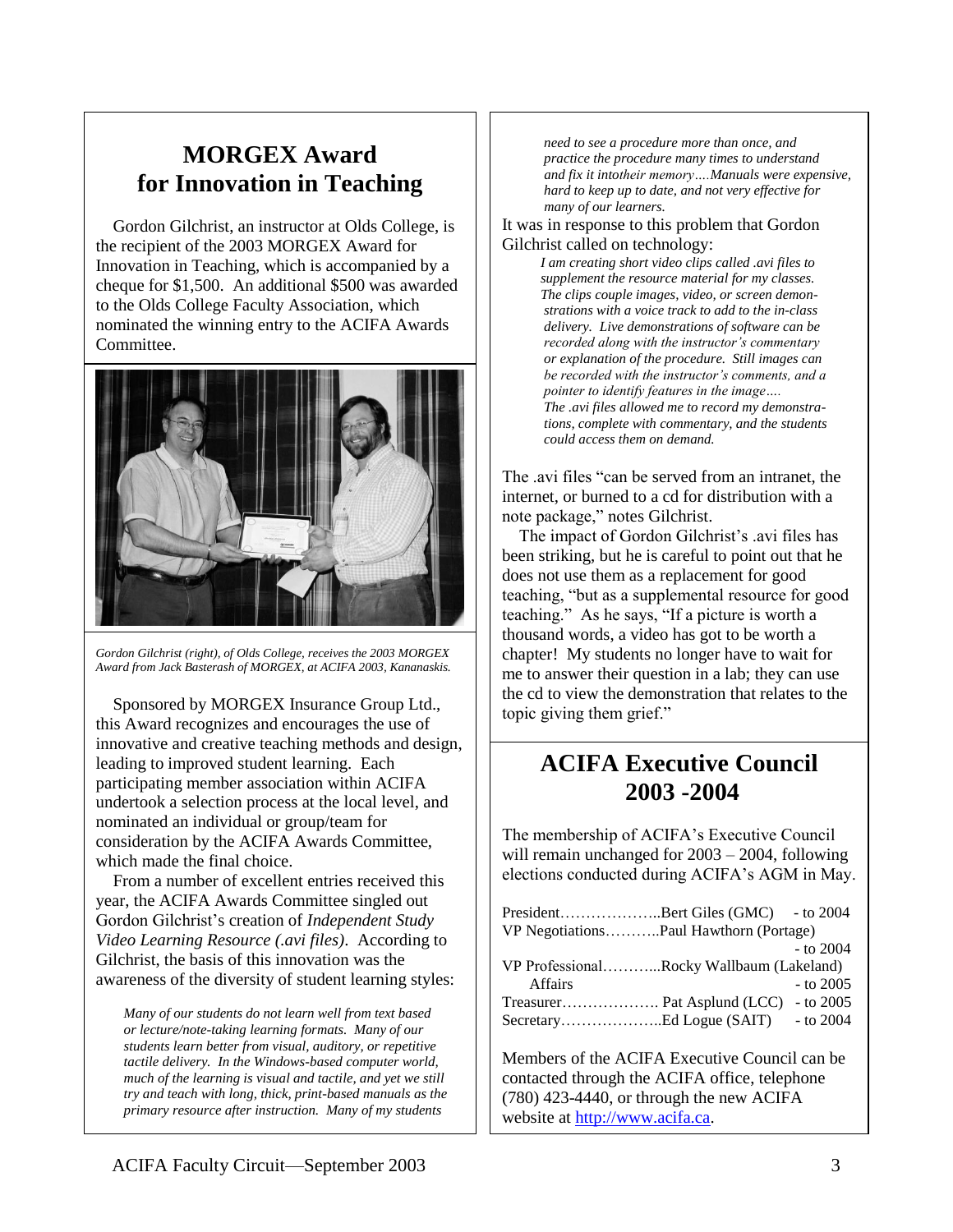## **MORGEX Award for Innovation in Teaching**

 Gordon Gilchrist, an instructor at Olds College, is the recipient of the 2003 MORGEX Award for Innovation in Teaching, which is accompanied by a cheque for \$1,500. An additional \$500 was awarded to the Olds College Faculty Association, which nominated the winning entry to the ACIFA Awards Committee.



*Gordon Gilchrist (right), of Olds College, receives the 2003 MORGEX Award from Jack Basterash of MORGEX, at ACIFA 2003, Kananaskis.*

 Sponsored by MORGEX Insurance Group Ltd., this Award recognizes and encourages the use of innovative and creative teaching methods and design, leading to improved student learning. Each participating member association within ACIFA undertook a selection process at the local level, and nominated an individual or group/team for consideration by the ACIFA Awards Committee, which made the final choice.

 From a number of excellent entries received this year, the ACIFA Awards Committee singled out Gordon Gilchrist's creation of *Independent Study Video Learning Resource (.avi files)*. According to Gilchrist, the basis of this innovation was the awareness of the diversity of student learning styles:

*Many of our students do not learn well from text based or lecture/note-taking learning formats. Many of our students learn better from visual, auditory, or repetitive tactile delivery. In the Windows-based computer world, much of the learning is visual and tactile, and yet we still try and teach with long, thick, print-based manuals as the primary resource after instruction. Many of my students* 

*need to see a procedure more than once, and practice the procedure many times to understand and fix it intotheir memory….Manuals were expensive, hard to keep up to date, and not very effective for many of our learners.*

It was in response to this problem that Gordon Gilchrist called on technology:

> *I am creating short video clips called .avi files to supplement the resource material for my classes. The clips couple images, video, or screen demonstrations with a voice track to add to the in-class delivery. Live demonstrations of software can be recorded along with the instructor's commentary or explanation of the procedure. Still images can be recorded with the instructor's comments, and a pointer to identify features in the image…. The .avi files allowed me to record my demonstrations, complete with commentary, and the students could access them on demand.*

The .avi files "can be served from an intranet, the internet, or burned to a cd for distribution with a note package," notes Gilchrist.

 The impact of Gordon Gilchrist's .avi files has been striking, but he is careful to point out that he does not use them as a replacement for good teaching, "but as a supplemental resource for good teaching." As he says, "If a picture is worth a thousand words, a video has got to be worth a chapter! My students no longer have to wait for me to answer their question in a lab; they can use the cd to view the demonstration that relates to the topic giving them grief."

# **ACIFA Executive Council 2003 -2004**

The membership of ACIFA's Executive Council will remain unchanged for 2003 – 2004, following elections conducted during ACIFA's AGM in May.

| PresidentBert Giles (GMC) - to 2004      |             |
|------------------------------------------|-------------|
| VP NegotiationsPaul Hawthorn (Portage)   |             |
|                                          | $-$ to 2004 |
| VP ProfessionalRocky Wallbaum (Lakeland) |             |
|                                          | $-$ to 2005 |
|                                          |             |
|                                          |             |
|                                          |             |

Members of the ACIFA Executive Council can be contacted through the ACIFA office, telephone (780) 423-4440, or through the new ACIFA website at [http://www.acifa.ca.](http://www.acifa.ca/)